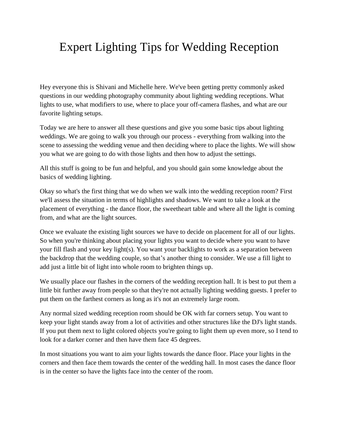## Expert Lighting Tips for Wedding Reception

Hey everyone this is Shivani and Michelle here. We've been getting pretty commonly asked questions in our wedding photography community about lighting wedding receptions. What lights to use, what modifiers to use, where to place your off-camera flashes, and what are our favorite lighting setups.

Today we are here to answer all these questions and give you some basic tips about lighting weddings. We are going to walk you through our process - everything from walking into the scene to assessing the wedding venue and then deciding where to place the lights. We will show you what we are going to do with those lights and then how to adjust the settings.

All this stuff is going to be fun and helpful, and you should gain some knowledge about the basics of wedding lighting.

Okay so what's the first thing that we do when we walk into the wedding reception room? First we'll assess the situation in terms of highlights and shadows. We want to take a look at the placement of everything - the dance floor, the sweetheart table and where all the light is coming from, and what are the light sources.

Once we evaluate the existing light sources we have to decide on placement for all of our lights. So when you're thinking about placing your lights you want to decide where you want to have your fill flash and your key light(s). You want your backlights to work as a separation between the backdrop that the wedding couple, so that's another thing to consider. We use a fill light to add just a little bit of light into whole room to brighten things up.

We usually place our flashes in the corners of the wedding reception hall. It is best to put them a little bit further away from people so that they're not actually lighting wedding guests. I prefer to put them on the farthest corners as long as it's not an extremely large room.

Any normal sized wedding reception room should be OK with far corners setup. You want to keep your light stands away from a lot of activities and other structures like the DJ's light stands. If you put them next to light colored objects you're going to light them up even more, so I tend to look for a darker corner and then have them face 45 degrees.

In most situations you want to aim your lights towards the dance floor. Place your lights in the corners and then face them towards the center of the wedding hall. In most cases the dance floor is in the center so have the lights face into the center of the room.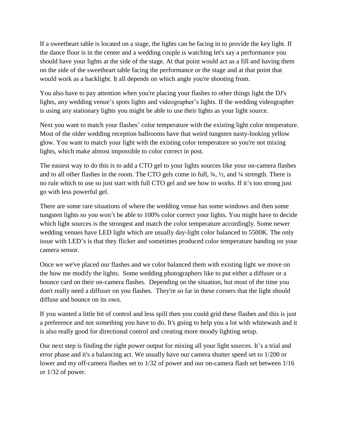If a sweetheart table is located on a stage, the lights can be facing in to provide the key light. If the dance floor is in the center and a wedding couple is watching let's say a performance you should have your lights at the side of the stage. At that point would act as a fill and having them on the side of the sweetheart table facing the performance or the stage and at that point that would work as a backlight. It all depends on which angle you're shooting from.

You also have to pay attention when you're placing your flashes to other things light the DJ's lights, any wedding venue's spots lights and videographer's lights. If the wedding videographer is using any stationary lights you might be able to use their lights as your light source.

Next you want to match your flashes' color temperature with the existing light color temperature. Most of the older wedding reception ballrooms have that weird tungsten nasty-looking yellow glow. You want to match your light with the existing color temperature so you're not mixing lights, which make almost impossible to color correct in post.

The easiest way to do this is to add a CTO gel to your lights sources like your on-camera flashes and to all other flashes in the room. The CTO gels come in full, ¾, ½, and ¼ strength. There is no rule which to use so just start with full CTO gel and see how to works. If it's too strong just go with less powerful gel.

There are some rare situations of where the wedding venue has some windows and then some tungsten lights so you won't be able to 100% color correct your lights. You might have to decide which light sources is the strongest and match the color temperature accordingly. Some newer wedding venues have LED light which are usually day-light color balanced to 5500K. The only issue with LED's is that they flicker and sometimes produced color temperature banding on your camera sensor.

Once we we've placed our flashes and we color balanced them with existing light we move on the how me modify the lights. Some wedding photographers like to put either a diffuser or a bounce card on their on-camera flashes. Depending on the situation, but most of the time you don't really need a diffuser on you flashes. They're so far in these corners that the light should diffuse and bounce on its own.

If you wanted a little bit of control and less spill then you could grid these flashes and this is just a preference and not something you have to do. It's going to help you a lot with whitewash and it is also really good for directional control and creating more moody lighting setup.

Our next step is finding the right power output for mixing all your light sources. It's a trial and error phase and it's a balancing act. We usually have our camera shutter speed set to 1/200 or lower and my off-camera flashes set to 1/32 of power and our on-camera flash set between 1/16 or 1/32 of power.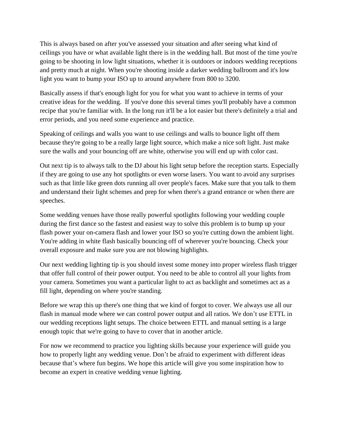This is always based on after you've assessed your situation and after seeing what kind of ceilings you have or what available light there is in the wedding hall. But most of the time you're going to be shooting in low light situations, whether it is outdoors or indoors wedding receptions and pretty much at night. When you're shooting inside a darker wedding ballroom and it's low light you want to bump your ISO up to around anywhere from 800 to 3200.

Basically assess if that's enough light for you for what you want to achieve in terms of your creative ideas for the wedding. If you've done this several times you'll probably have a common recipe that you're familiar with. In the long run it'll be a lot easier but there's definitely a trial and error periods, and you need some experience and practice.

Speaking of ceilings and walls you want to use ceilings and walls to bounce light off them because they're going to be a really large light source, which make a nice soft light. Just make sure the walls and your bouncing off are white, otherwise you will end up with color cast.

Out next tip is to always talk to the DJ about his light setup before the reception starts. Especially if they are going to use any hot spotlights or even worse lasers. You want to avoid any surprises such as that little like green dots running all over people's faces. Make sure that you talk to them and understand their light schemes and prep for when there's a grand entrance or when there are speeches.

Some wedding venues have those really powerful spotlights following your wedding couple during the first dance so the fastest and easiest way to solve this problem is to bump up your flash power your on-camera flash and lower your ISO so you're cutting down the ambient light. You're adding in white flash basically bouncing off of wherever you're bouncing. Check your overall exposure and make sure you are not blowing highlights.

Our next wedding lighting tip is you should invest some money into proper wireless flash trigger that offer full control of their power output. You need to be able to control all your lights from your camera. Sometimes you want a particular light to act as backlight and sometimes act as a fill light, depending on where you're standing.

Before we wrap this up there's one thing that we kind of forgot to cover. We always use all our flash in manual mode where we can control power output and all ratios. We don't use ETTL in our wedding receptions light setups. The choice between ETTL and manual setting is a large enough topic that we're going to have to cover that in another article.

For now we recommend to practice you lighting skills because your experience will guide you how to properly light any wedding venue. Don't be afraid to experiment with different ideas because that's where fun begins. We hope this article will give you some inspiration how to become an expert in creative wedding venue lighting.